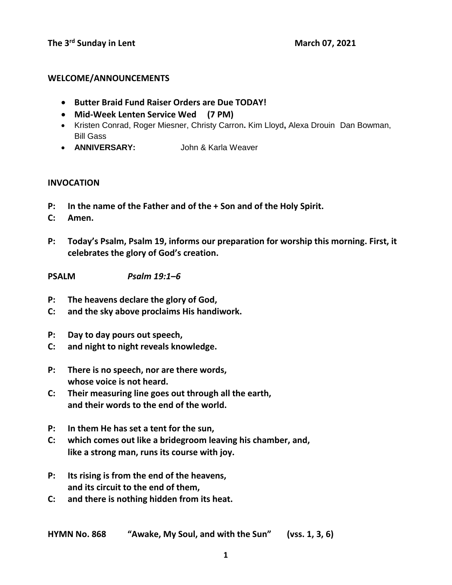### **WELCOME/ANNOUNCEMENTS**

- **Butter Braid Fund Raiser Orders are Due TODAY!**
- **Mid-Week Lenten Service Wed (7 PM)**
- Kristen Conrad, Roger Miesner, Christy Carron**.** Kim Lloyd**,** Alexa Drouin Dan Bowman, Bill Gass
- **ANNIVERSARY:** John & Karla Weaver

### **INVOCATION**

- **P: In the name of the Father and of the + Son and of the Holy Spirit.**
- **C: Amen.**
- **P: Today's Psalm, Psalm 19, informs our preparation for worship this morning. First, it celebrates the glory of God's creation.**
- **PSALM** *Psalm 19:1–6*
- **P: The heavens declare the glory of God,**
- **C: and the sky above proclaims His handiwork.**
- **P: Day to day pours out speech,**
- **C: and night to night reveals knowledge.**
- **P: There is no speech, nor are there words, whose voice is not heard.**
- **C: Their measuring line goes out through all the earth, and their words to the end of the world.**
- **P: In them He has set a tent for the sun,**
- **C: which comes out like a bridegroom leaving his chamber, and, like a strong man, runs its course with joy.**
- **P: Its rising is from the end of the heavens, and its circuit to the end of them,**
- **C: and there is nothing hidden from its heat.**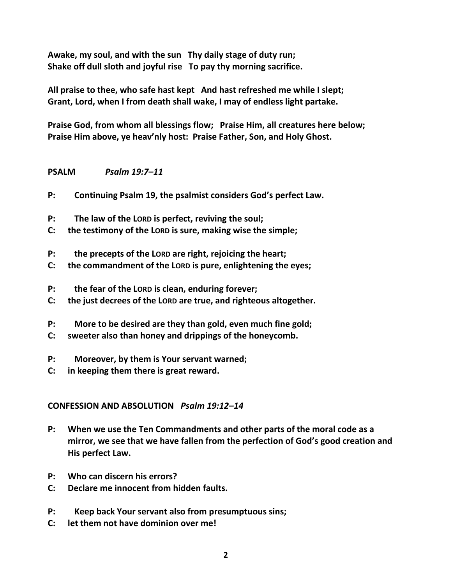**Awake, my soul, and with the sun Thy daily stage of duty run; Shake off dull sloth and joyful rise To pay thy morning sacrifice.** 

**All praise to thee, who safe hast kept And hast refreshed me while I slept; Grant, Lord, when I from death shall wake, I may of endless light partake.** 

**Praise God, from whom all blessings flow; Praise Him, all creatures here below; Praise Him above, ye heav'nly host: Praise Father, Son, and Holy Ghost.** 

## **PSALM** *Psalm 19:7–11*

- **P: Continuing Psalm 19, the psalmist considers God's perfect Law.**
- **P: The law of the LORD is perfect, reviving the soul;**
- **C: the testimony of the LORD is sure, making wise the simple;**
- **P: the precepts of the LORD are right, rejoicing the heart;**
- **C: the commandment of the LORD is pure, enlightening the eyes;**
- **P: the fear of the LORD is clean, enduring forever;**
- **C: the just decrees of the LORD are true, and righteous altogether.**
- **P: More to be desired are they than gold, even much fine gold;**
- **C: sweeter also than honey and drippings of the honeycomb.**
- **P: Moreover, by them is Your servant warned;**
- **C: in keeping them there is great reward.**

## **CONFESSION AND ABSOLUTION** *Psalm 19:12–14*

- **P: When we use the Ten Commandments and other parts of the moral code as a mirror, we see that we have fallen from the perfection of God's good creation and His perfect Law.**
- **P: Who can discern his errors?**
- **C: Declare me innocent from hidden faults.**
- **P: Keep back Your servant also from presumptuous sins;**
- **C: let them not have dominion over me!**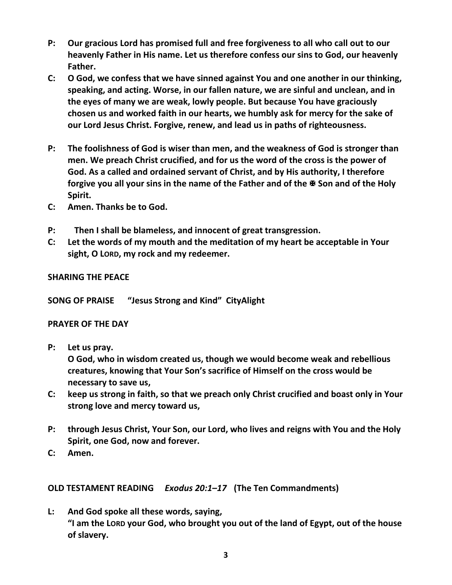- **P: Our gracious Lord has promised full and free forgiveness to all who call out to our heavenly Father in His name. Let us therefore confess our sins to God, our heavenly Father.**
- **C: O God, we confess that we have sinned against You and one another in our thinking, speaking, and acting. Worse, in our fallen nature, we are sinful and unclean, and in the eyes of many we are weak, lowly people. But because You have graciously chosen us and worked faith in our hearts, we humbly ask for mercy for the sake of our Lord Jesus Christ. Forgive, renew, and lead us in paths of righteousness.**
- **P: The foolishness of God is wiser than men, and the weakness of God is stronger than men. We preach Christ crucified, and for us the word of the cross is the power of God. As a called and ordained servant of Christ, and by His authority, I therefore**  forgive you all your sins in the name of the Father and of the  $\overline{\mathbf{r}}$  Son and of the Holy **Spirit.**
- **C: Amen. Thanks be to God.**
- **P: Then I shall be blameless, and innocent of great transgression.**
- **C: Let the words of my mouth and the meditation of my heart be acceptable in Your sight, O LORD, my rock and my redeemer.**

# **SHARING THE PEACE**

**SONG OF PRAISE "Jesus Strong and Kind" CityAlight**

# **PRAYER OF THE DAY**

**P: Let us pray.**

**O God, who in wisdom created us, though we would become weak and rebellious creatures, knowing that Your Son's sacrifice of Himself on the cross would be necessary to save us,**

- **C: keep us strong in faith, so that we preach only Christ crucified and boast only in Your strong love and mercy toward us,**
- **P: through Jesus Christ, Your Son, our Lord, who lives and reigns with You and the Holy Spirit, one God, now and forever.**
- **C: Amen.**

**OLD TESTAMENT READING** *Exodus 20:1–17* **(The Ten Commandments)**

**L: And God spoke all these words, saying, "I am the LORD your God, who brought you out of the land of Egypt, out of the house of slavery.**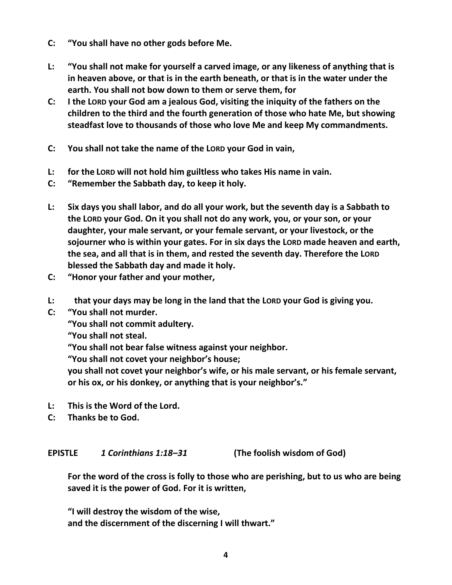- **C: "You shall have no other gods before Me.**
- **L: "You shall not make for yourself a carved image, or any likeness of anything that is in heaven above, or that is in the earth beneath, or that is in the water under the earth. You shall not bow down to them or serve them, for**
- **C: I the LORD your God am a jealous God, visiting the iniquity of the fathers on the children to the third and the fourth generation of those who hate Me, but showing steadfast love to thousands of those who love Me and keep My commandments.**
- **C: You shall not take the name of the LORD your God in vain,**
- **L: for the LORD will not hold him guiltless who takes His name in vain.**
- **C: "Remember the Sabbath day, to keep it holy.**
- **L: Six days you shall labor, and do all your work, but the seventh day is a Sabbath to the LORD your God. On it you shall not do any work, you, or your son, or your daughter, your male servant, or your female servant, or your livestock, or the sojourner who is within your gates. For in six days the LORD made heaven and earth, the sea, and all that is in them, and rested the seventh day. Therefore the LORD blessed the Sabbath day and made it holy.**
- **C: "Honor your father and your mother,**
- **L: that your days may be long in the land that the LORD your God is giving you.**
- **C: "You shall not murder.**

**"You shall not commit adultery.**

**"You shall not steal.**

**"You shall not bear false witness against your neighbor.**

**"You shall not covet your neighbor's house;**

**you shall not covet your neighbor's wife, or his male servant, or his female servant, or his ox, or his donkey, or anything that is your neighbor's."**

- **L: This is the Word of the Lord.**
- **C: Thanks be to God.**

## **EPISTLE** *1 Corinthians 1:18–31* **(The foolish wisdom of God)**

**For the word of the cross is folly to those who are perishing, but to us who are being saved it is the power of God. For it is written,**

**"I will destroy the wisdom of the wise, and the discernment of the discerning I will thwart."**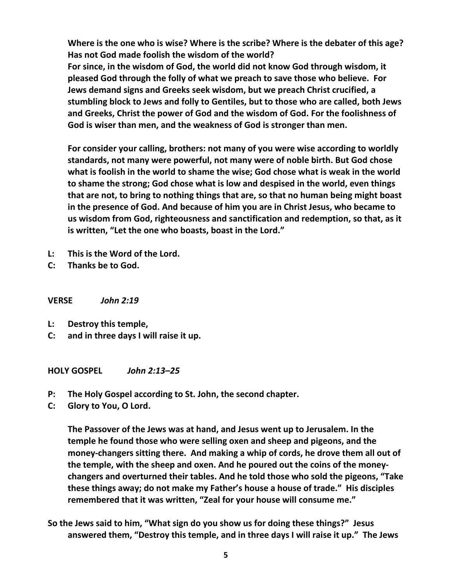**Where is the one who is wise? Where is the scribe? Where is the debater of this age? Has not God made foolish the wisdom of the world?** 

**For since, in the wisdom of God, the world did not know God through wisdom, it pleased God through the folly of what we preach to save those who believe. For Jews demand signs and Greeks seek wisdom, but we preach Christ crucified, a stumbling block to Jews and folly to Gentiles, but to those who are called, both Jews and Greeks, Christ the power of God and the wisdom of God. For the foolishness of God is wiser than men, and the weakness of God is stronger than men.**

**For consider your calling, brothers: not many of you were wise according to worldly standards, not many were powerful, not many were of noble birth. But God chose what is foolish in the world to shame the wise; God chose what is weak in the world to shame the strong; God chose what is low and despised in the world, even things that are not, to bring to nothing things that are, so that no human being might boast in the presence of God. And because of him you are in Christ Jesus, who became to us wisdom from God, righteousness and sanctification and redemption, so that, as it is written, "Let the one who boasts, boast in the Lord."** 

- **L: This is the Word of the Lord.**
- **C: Thanks be to God.**

**VERSE** *John 2:19*

- **L: Destroy this temple,**
- **C: and in three days I will raise it up.**

**HOLY GOSPEL** *John 2:13–25*

- **P: The Holy Gospel according to St. John, the second chapter.**
- **C: Glory to You, O Lord.**

**The Passover of the Jews was at hand, and Jesus went up to Jerusalem. In the temple he found those who were selling oxen and sheep and pigeons, and the money-changers sitting there. And making a whip of cords, he drove them all out of the temple, with the sheep and oxen. And he poured out the coins of the moneychangers and overturned their tables. And he told those who sold the pigeons, "Take these things away; do not make my Father's house a house of trade." His disciples remembered that it was written, "Zeal for your house will consume me."**

**So the Jews said to him, "What sign do you show us for doing these things?" Jesus answered them, "Destroy this temple, and in three days I will raise it up." The Jews**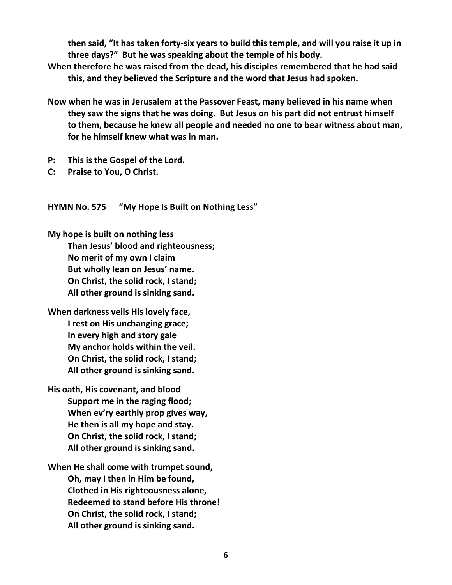**then said, "It has taken forty-six years to build this temple, and will you raise it up in three days?" But he was speaking about the temple of his body.** 

- **When therefore he was raised from the dead, his disciples remembered that he had said this, and they believed the Scripture and the word that Jesus had spoken.**
- **Now when he was in Jerusalem at the Passover Feast, many believed in his name when they saw the signs that he was doing. But Jesus on his part did not entrust himself to them, because he knew all people and needed no one to bear witness about man, for he himself knew what was in man.**
- **P: This is the Gospel of the Lord.**
- **C: Praise to You, O Christ.**

**HYMN No. 575 "My Hope Is Built on Nothing Less"**

**My hope is built on nothing less Than Jesus' blood and righteousness; No merit of my own I claim But wholly lean on Jesus' name. On Christ, the solid rock, I stand; All other ground is sinking sand.** 

**When darkness veils His lovely face, I rest on His unchanging grace; In every high and story gale My anchor holds within the veil. On Christ, the solid rock, I stand; All other ground is sinking sand.** 

**His oath, His covenant, and blood Support me in the raging flood; When ev'ry earthly prop gives way, He then is all my hope and stay. On Christ, the solid rock, I stand; All other ground is sinking sand.** 

**When He shall come with trumpet sound, Oh, may I then in Him be found, Clothed in His righteousness alone, Redeemed to stand before His throne! On Christ, the solid rock, I stand; All other ground is sinking sand.**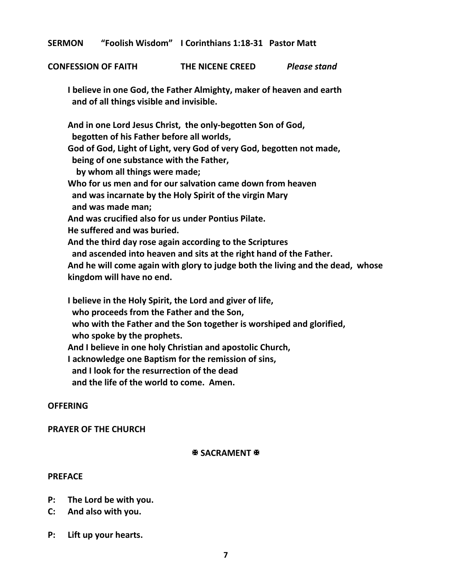**SERMON "Foolish Wisdom" I Corinthians 1:18-31 Pastor Matt**

**CONFESSION OF FAITH THE NICENE CREED** *Please stand*

**I believe in one God, the Father Almighty, maker of heaven and earth and of all things visible and invisible.**

**And in one Lord Jesus Christ, the only-begotten Son of God, begotten of his Father before all worlds, God of God, Light of Light, very God of very God, begotten not made, being of one substance with the Father, by whom all things were made; Who for us men and for our salvation came down from heaven and was incarnate by the Holy Spirit of the virgin Mary and was made man; And was crucified also for us under Pontius Pilate. He suffered and was buried. And the third day rose again according to the Scriptures and ascended into heaven and sits at the right hand of the Father. And he will come again with glory to judge both the living and the dead, whose kingdom will have no end.**

**I believe in the Holy Spirit, the Lord and giver of life, who proceeds from the Father and the Son, who with the Father and the Son together is worshiped and glorified, who spoke by the prophets. And I believe in one holy Christian and apostolic Church, I acknowledge one Baptism for the remission of sins, and I look for the resurrection of the dead and the life of the world to come. Amen.**

#### **OFFERING**

#### **PRAYER OF THE CHURCH**

#### **B SACRAMENT B**

#### **PREFACE**

- **P: The Lord be with you.**
- **C: And also with you.**
- **P: Lift up your hearts.**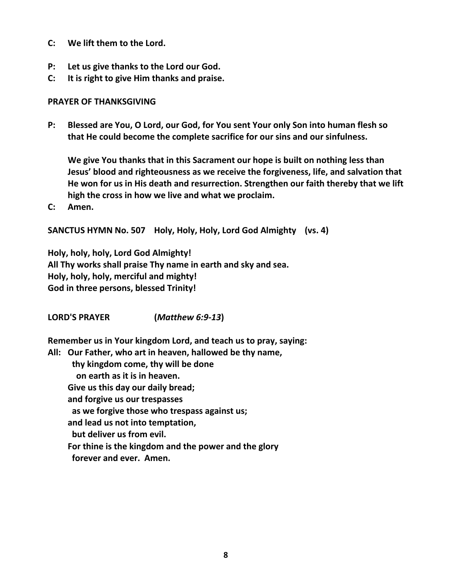- **C: We lift them to the Lord.**
- **P: Let us give thanks to the Lord our God.**
- **C: It is right to give Him thanks and praise.**

### **PRAYER OF THANKSGIVING**

**P: Blessed are You, O Lord, our God, for You sent Your only Son into human flesh so that He could become the complete sacrifice for our sins and our sinfulness.**

**We give You thanks that in this Sacrament our hope is built on nothing less than Jesus' blood and righteousness as we receive the forgiveness, life, and salvation that He won for us in His death and resurrection. Strengthen our faith thereby that we lift high the cross in how we live and what we proclaim.**

**C: Amen.**

**SANCTUS HYMN No. 507 Holy, Holy, Holy, Lord God Almighty (vs. 4)**

**Holy, holy, holy, Lord God Almighty! All Thy works shall praise Thy name in earth and sky and sea. Holy, holy, holy, merciful and mighty! God in three persons, blessed Trinity!**

**LORD'S PRAYER (***Matthew 6:9-13***)**

**Remember us in Your kingdom Lord, and teach us to pray, saying:** 

**All: Our Father, who art in heaven, hallowed be thy name,**

 **thy kingdom come, thy will be done**

 **on earth as it is in heaven.**

**Give us this day our daily bread;**

**and forgive us our trespasses**

 **as we forgive those who trespass against us;**

**and lead us not into temptation,**

 **but deliver us from evil.**

**For thine is the kingdom and the power and the glory**

 **forever and ever. Amen.**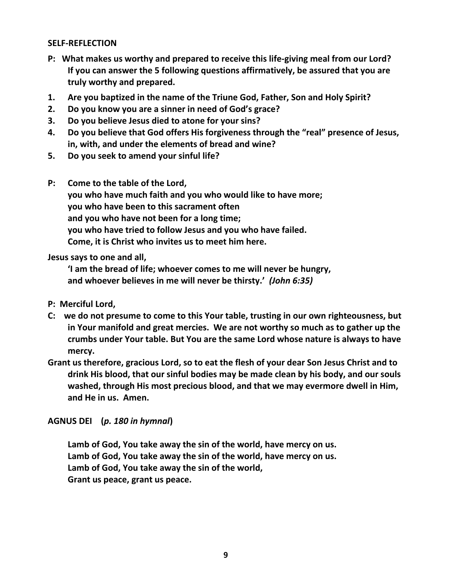### **SELF-REFLECTION**

- **P: What makes us worthy and prepared to receive this life-giving meal from our Lord? If you can answer the 5 following questions affirmatively, be assured that you are truly worthy and prepared.**
- **1. Are you baptized in the name of the Triune God, Father, Son and Holy Spirit?**
- **2. Do you know you are a sinner in need of God's grace?**
- **3. Do you believe Jesus died to atone for your sins?**
- **4. Do you believe that God offers His forgiveness through the "real" presence of Jesus, in, with, and under the elements of bread and wine?**
- **5. Do you seek to amend your sinful life?**
- **P: Come to the table of the Lord, you who have much faith and you who would like to have more; you who have been to this sacrament often and you who have not been for a long time; you who have tried to follow Jesus and you who have failed. Come, it is Christ who invites us to meet him here.**

### **Jesus says to one and all,**

**'I am the bread of life; whoever comes to me will never be hungry, and whoever believes in me will never be thirsty.'** *(John 6:35)*

- **P: Merciful Lord,**
- **C: we do not presume to come to this Your table, trusting in our own righteousness, but in Your manifold and great mercies. We are not worthy so much as to gather up the crumbs under Your table. But You are the same Lord whose nature is always to have mercy.**
- **Grant us therefore, gracious Lord, so to eat the flesh of your dear Son Jesus Christ and to drink His blood, that our sinful bodies may be made clean by his body, and our souls washed, through His most precious blood, and that we may evermore dwell in Him, and He in us. Amen.**

## **AGNUS DEI (***p. 180 in hymnal***)**

**Lamb of God, You take away the sin of the world, have mercy on us. Lamb of God, You take away the sin of the world, have mercy on us. Lamb of God, You take away the sin of the world, Grant us peace, grant us peace.**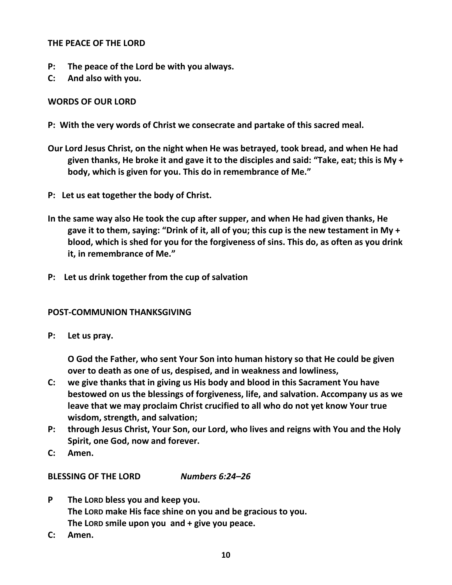## **THE PEACE OF THE LORD**

- **P: The peace of the Lord be with you always.**
- **C: And also with you.**

# **WORDS OF OUR LORD**

- **P: With the very words of Christ we consecrate and partake of this sacred meal.**
- **Our Lord Jesus Christ, on the night when He was betrayed, took bread, and when He had given thanks, He broke it and gave it to the disciples and said: "Take, eat; this is My + body, which is given for you. This do in remembrance of Me."**
- **P: Let us eat together the body of Christ.**
- **In the same way also He took the cup after supper, and when He had given thanks, He gave it to them, saying: "Drink of it, all of you; this cup is the new testament in My + blood, which is shed for you for the forgiveness of sins. This do, as often as you drink it, in remembrance of Me."**
- **P: Let us drink together from the cup of salvation**

# **POST-COMMUNION THANKSGIVING**

**P: Let us pray.**

**O God the Father, who sent Your Son into human history so that He could be given over to death as one of us, despised, and in weakness and lowliness,**

- **C: we give thanks that in giving us His body and blood in this Sacrament You have bestowed on us the blessings of forgiveness, life, and salvation. Accompany us as we leave that we may proclaim Christ crucified to all who do not yet know Your true wisdom, strength, and salvation;**
- **P: through Jesus Christ, Your Son, our Lord, who lives and reigns with You and the Holy Spirit, one God, now and forever.**
- **C: Amen.**

**BLESSING OF THE LORD** *Numbers 6:24–26*

- **P The LORD bless you and keep you. The LORD make His face shine on you and be gracious to you. The LORD smile upon you and + give you peace.**
- **C: Amen.**